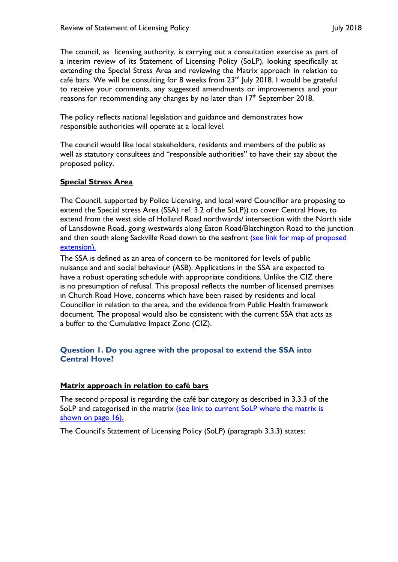The council, as licensing authority, is carrying out a consultation exercise as part of a interim review of its Statement of Licensing Policy (SoLP), looking specifically at extending the Special Stress Area and reviewing the Matrix approach in relation to café bars. We will be consulting for 8 weeks from  $23<sup>rd</sup>$  July 2018. I would be grateful to receive your comments, any suggested amendments or improvements and your reasons for recommending any changes by no later than 17<sup>th</sup> September 2018.

The policy reflects national legislation and guidance and demonstrates how responsible authorities will operate at a local level.

The council would like local stakeholders, residents and members of the public as well as statutory consultees and "responsible authorities" to have their say about the proposed policy.

## **Special Stress Area**

The Council, supported by Police Licensing, and local ward Councillor are proposing to extend the Special stress Area (SSA) ref. 3.2 of the SoLP)) to cover Central Hove, to extend from the west side of Holland Road northwards/ intersection with the North side of Lansdowne Road, going westwards along Eaton Road/Blatchington Road to the junction and then south along Sackville Road down to the seafront (see link for map of proposed [extension\).](https://present.brighton-hove.gov.uk/Published/C00000157/M00009212/AI00067042/$20180619162445_016488_0057663_ProposedexpansionofSpecialStressAreaJune2018.pdfA.ps.pdf)

The SSA is defined as an area of concern to be monitored for levels of public nuisance and anti social behaviour (ASB). Applications in the SSA are expected to have a robust operating schedule with appropriate conditions. Unlike the CIZ there is no presumption of refusal. This proposal reflects the number of licensed premises in Church Road Hove, concerns which have been raised by residents and local Councillor in relation to the area, and the evidence from Public Health framework document. The proposal would also be consistent with the current SSA that acts as a buffer to the Cumulative Impact Zone (CIZ).

## **Question 1. Do you agree with the proposal to extend the SSA into Central Hove?**

# **Matrix approach in relation to café bars**

The second proposal is regarding the café bar category as described in 3.3.3 of the SoLP and categorised in the matrix (see link to [current SoLP where the matrix](https://www.brighton-hove.gov.uk/sites/brighton-hove.gov.uk/files/Statement%20of%20Licensing%20Policy%202016%2001%2006%2016.pdf) is [shown on page 16\).](https://www.brighton-hove.gov.uk/sites/brighton-hove.gov.uk/files/Statement%20of%20Licensing%20Policy%202016%2001%2006%2016.pdf)

The Council's Statement of Licensing Policy (SoLP) (paragraph 3.3.3) states: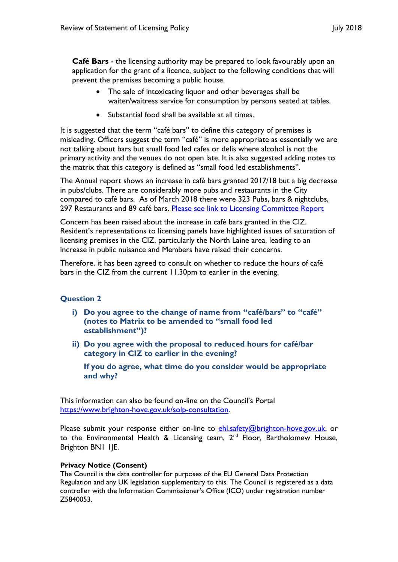**Café Bars** - the licensing authority may be prepared to look favourably upon an application for the grant of a licence, subject to the following conditions that will prevent the premises becoming a public house.

- The sale of intoxicating liquor and other beverages shall be waiter/waitress service for consumption by persons seated at tables.
- Substantial food shall be available at all times.

It is suggested that the term "café bars" to define this category of premises is misleading. Officers suggest the term "café" is more appropriate as essentially we are not talking about bars but small food led cafes or delis where alcohol is not the primary activity and the venues do not open late. It is also suggested adding notes to the matrix that this category is defined as "small food led establishments".

The Annual report shows an increase in café bars granted 2017/18 but a big decrease in pubs/clubs. There are considerably more pubs and restaurants in the City compared to café bars. As of March 2018 there were 323 Pubs, bars & nightclubs, 297 Restaurants and 89 café bars. [Please see link to Licensing Committee Report](https://present.brighton-hove.gov.uk/Published/C00000157/M00006680/$$ADocPackPublic.pdf)

Concern has been raised about the increase in café bars granted in the CIZ. Resident's representations to licensing panels have highlighted issues of saturation of licensing premises in the CIZ, particularly the North Laine area, leading to an increase in public nuisance and Members have raised their concerns.

Therefore, it has been agreed to consult on whether to reduce the hours of café bars in the CIZ from the current 11.30pm to earlier in the evening.

# **Question 2**

- **i) Do you agree to the change of name from "café/bars" to "café" (notes to Matrix to be amended to "small food led establishment")?**
- **ii) Do you agree with the proposal to reduced hours for café/bar category in CIZ to earlier in the evening?**

**If you do agree, what time do you consider would be appropriate and why?**

This information can also be found on-line on the Council's Portal [https://www.brighton-hove.gov.uk/solp-consultation.](https://www.brighton-hove.gov.uk/solp-consultation)

Please submit your response either on-line to [ehl.safety@brighton-hove.gov.uk,](mailto:ehl.safety@brighton-hove.gov.uk) or to the Environmental Health & Licensing team, 2<sup>nd</sup> Floor, Bartholomew House, Brighton BN1 1JE.

### **Privacy Notice (Consent)**

The Council is the data controller for purposes of the EU General Data Protection Regulation and any UK legislation supplementary to this. The Council is registered as a data controller with the Information Commissioner's Office (ICO) under registration number Z5840053.